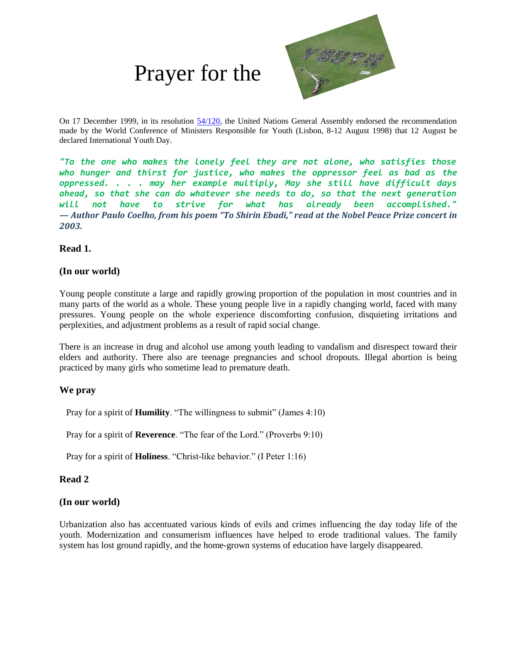# Prayer for the



On 17 December 1999, in its resolution [54/120,](http://www.un.org/ga/search/view_doc.asp?symbol=A/RES/54/120) the United Nations General Assembly endorsed the recommendation made by the World Conference of Ministers Responsible for Youth (Lisbon, 8-12 August 1998) that 12 August be declared International Youth Day.

*"To the one who makes the lonely feel they are not alone, who satisfies those who hunger and thirst for justice, who makes the oppressor feel as bad as the oppressed. . . . may her example multiply, May she still have difficult days ahead, so that she can do whatever she needs to do, so that the next generation will not have to strive for what has already been accomplished." — Author Paulo Coelho, from his poem "To Shirin Ebadi," read at the Nobel Peace Prize concert in 2003.*

#### **Read 1.**

#### **(In our world)**

Young people constitute a large and rapidly growing proportion of the population in most countries and in many parts of the world as a whole. These young people live in a rapidly changing world, faced with many pressures. Young people on the whole experience discomforting confusion, disquieting irritations and perplexities, and adjustment problems as a result of rapid social change.

There is an increase in drug and alcohol use among youth leading to vandalism and disrespect toward their elders and authority. There also are teenage pregnancies and school dropouts. Illegal abortion is being practiced by many girls who sometime lead to premature death.

## **We pray**

Pray for a spirit of **Humility**. "The willingness to submit" (James 4:10)

Pray for a spirit of **Reverence**. "The fear of the Lord." (Proverbs 9:10)

Pray for a spirit of **Holiness**. "Christ-like behavior." (I Peter 1:16)

## **Read 2**

## **(In our world)**

Urbanization also has accentuated various kinds of evils and crimes influencing the day today life of the youth. Modernization and consumerism influences have helped to erode traditional values. The family system has lost ground rapidly, and the home-grown systems of education have largely disappeared.